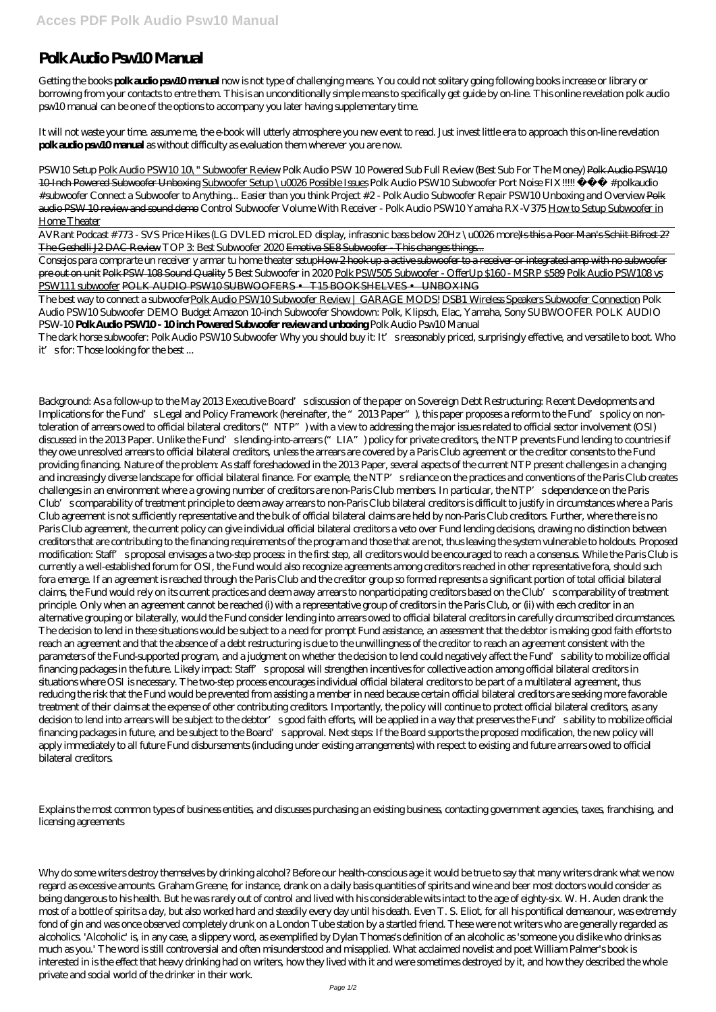## **Polk Audio Psw10 Manual**

Getting the books **polk audio psw10 manual** now is not type of challenging means. You could not solitary going following books increase or library or borrowing from your contacts to entre them. This is an unconditionally simple means to specifically get guide by on-line. This online revelation polk audio psw10 manual can be one of the options to accompany you later having supplementary time.

It will not waste your time. assume me, the e-book will utterly atmosphere you new event to read. Just invest little era to approach this on-line revelation **polk audio psw10 manual** as without difficulty as evaluation them wherever you are now.

AVRant Podcast #773 - SVS Price Hikes (LG DVLED microLED display, infrasonic bass below 20Hz \u0026 more)<del>Is this a Poor Man's Schiit Bifrost 2?</del> The Geshelli J2 DAC Review *TOP 3: Best Subwoofer 2020* Emotiva SE8 Subwoofer - This changes things...

Consejos para comprarte un receiver y armar tu home theater setupHow 2 hook up a active subwoofer to a receiver or integrated amp with no subwoofer pre out on unit Polk PSW 108 Sound Quality 5 Best Subwoofer in 2020 Polk PSW505 Subwoofer - OfferUp \$160 - MSRP \$589 Polk Audio PSW108 vs PSW111 subwoofer POLK AUDIO PSW10 SUBWOOFERS • T15 BOOKSHELVES • UNBOXING

*PSW10 Setup* Polk Audio PSW10 10\" Subwoofer Review Polk Audio PSW 10 Powered Sub Full Review (Best Sub For The Money) Polk Audio PSW10 10-Inch Powered Subwoofer Unboxing Subwoofer Setup \u0026 Possible Issues Polk Audio PSW10 Subwoofer Port Noise FIX!!!!! #polkaudio #subwoofer *Connect a Subwoofer to Anything... Easier than you think Project #2 - Polk Audio Subwoofer Repair* PSW10 Unboxing and Overview Polk audio PSW 10 review and sound demo *Control Subwoofer Volume With Receiver - Polk Audio PSW10 Yamaha RX-V375* How to Setup Subwoofer in Home Theater

The best way to connect a subwooferPolk Audio PSW10 Subwoofer Review | GARAGE MODS! DSB1 Wireless Speakers Subwoofer Connection Polk Audio PSW10 Subwoofer DEMO *Budget Amazon 10-inch Subwoofer Showdown: Polk, Klipsch, Elac, Yamaha, Sony SUBWOOFER POLK AUDIO PSW-10* **Polk Audio PSW10 - 10 inch Powered Subwoofer review and unboxing** *Polk Audio Psw10 Manual*

The dark horse subwoofer: Polk Audio PSW10 Subwoofer Why you should buy it: It's reasonably priced, surprisingly effective, and versatile to boot. Who it's for: Those looking for the best ...

Background: As a follow-up to the May 2013 Executive Board's discussion of the paper on Sovereign Debt Restructuring: Recent Developments and Implications for the Fund's Legal and Policy Framework (hereinafter, the "2013 Paper"), this paper proposes a reform to the Fund's policy on nontoleration of arrears owed to official bilateral creditors ("NTP") with a view to addressing the major issues related to official sector involvement (OSI) discussed in the 2013 Paper. Unlike the Fund's lending-into-arrears ("LIA") policy for private creditors, the NTP prevents Fund lending to countries if they owe unresolved arrears to official bilateral creditors, unless the arrears are covered by a Paris Club agreement or the creditor consents to the Fund providing financing. Nature of the problem: As staff foreshadowed in the 2013 Paper, several aspects of the current NTP present challenges in a changing and increasingly diverse landscape for official bilateral finance. For example, the NTP's reliance on the practices and conventions of the Paris Club creates challenges in an environment where a growing number of creditors are non-Paris Club members. In particular, the NTP's dependence on the Paris Club's comparability of treatment principle to deem away arrears to non-Paris Club bilateral creditors is difficult to justify in circumstances where a Paris Club agreement is not sufficiently representative and the bulk of official bilateral claims are held by non-Paris Club creditors. Further, where there is no Paris Club agreement, the current policy can give individual official bilateral creditors a veto over Fund lending decisions, drawing no distinction between creditors that are contributing to the financing requirements of the program and those that are not, thus leaving the system vulnerable to holdouts. Proposed modification: Staff's proposal envisages a two-step process: in the first step, all creditors would be encouraged to reach a consensus. While the Paris Club is currently a well-established forum for OSI, the Fund would also recognize agreements among creditors reached in other representative fora, should such fora emerge. If an agreement is reached through the Paris Club and the creditor group so formed represents a significant portion of total official bilateral claims, the Fund would rely on its current practices and deem away arrears to nonparticipating creditors based on the Club's comparability of treatment principle. Only when an agreement cannot be reached (i) with a representative group of creditors in the Paris Club, or (ii) with each creditor in an alternative grouping or bilaterally, would the Fund consider lending into arrears owed to official bilateral creditors in carefully circumscribed circumstances. The decision to lend in these situations would be subject to a need for prompt Fund assistance, an assessment that the debtor is making good faith efforts to reach an agreement and that the absence of a debt restructuring is due to the unwillingness of the creditor to reach an agreement consistent with the parameters of the Fund-supported program, and a judgment on whether the decision to lend could negatively affect the Fund's ability to mobilize official financing packages in the future. Likely impact: Staff's proposal will strengthen incentives for collective action among official bilateral creditors in situations where OSI is necessary. The two-step process encourages individual official bilateral creditors to be part of a multilateral agreement, thus reducing the risk that the Fund would be prevented from assisting a member in need because certain official bilateral creditors are seeking more favorable treatment of their claims at the expense of other contributing creditors. Importantly, the policy will continue to protect official bilateral creditors, as any decision to lend into arrears will be subject to the debtor's good faith efforts, will be applied in a way that preserves the Fund's ability to mobilize official financing packages in future, and be subject to the Board's approval. Next steps: If the Board supports the proposed modification, the new policy will apply immediately to all future Fund disbursements (including under existing arrangements) with respect to existing and future arrears owed to official bilateral creditors.

## Explains the most common types of business entities, and discusses purchasing an existing business, contacting government agencies, taxes, franchising, and licensing agreements

Why do some writers destroy themselves by drinking alcohol? Before our health-conscious age it would be true to say that many writers drank what we now regard as excessive amounts. Graham Greene, for instance, drank on a daily basis quantities of spirits and wine and beer most doctors would consider as being dangerous to his health. But he was rarely out of control and lived with his considerable wits intact to the age of eighty-six. W. H. Auden drank the most of a bottle of spirits a day, but also worked hard and steadily every day until his death. Even T. S. Eliot, for all his pontifical demeanour, was extremely fond of gin and was once observed completely drunk on a London Tube station by a startled friend. These were not writers who are generally regarded as alcoholics. 'Alcoholic' is, in any case, a slippery word, as exemplified by Dylan Thomas's definition of an alcoholic as 'someone you dislike who drinks as much as you.' The word is still controversial and often misunderstood and misapplied. What acclaimed novelist and poet William Palmer's book is interested in is the effect that heavy drinking had on writers, how they lived with it and were sometimes destroyed by it, and how they described the whole private and social world of the drinker in their work.